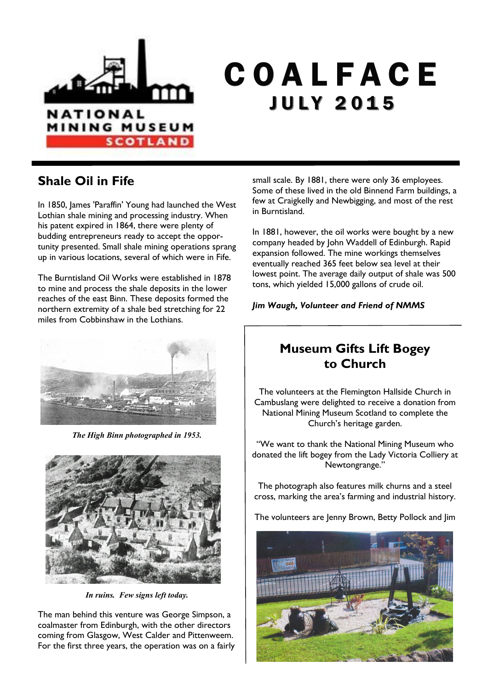

# C O A L F A C E **JULY 2015**

### **Shale Oil in Fife**

In 1850, James 'Paraffin' Young had launched the West Lothian shale mining and processing industry. When his patent expired in 1864, there were plenty of budding entrepreneurs ready to accept the opportunity presented. Small shale mining operations sprang up in various locations, several of which were in Fife.

The Burntisland Oil Works were established in 1878 to mine and process the shale deposits in the lower reaches of the east Binn. These deposits formed the northern extremity of a shale bed stretching for 22 miles from Cobbinshaw in the Lothians.



*The High Binn photographed in 1953.* 



*In ruins. Few signs left today.*

The man behind this venture was George Simpson, a coalmaster from Edinburgh, with the other directors coming from Glasgow, West Calder and Pittenweem. For the first three years, the operation was on a fairly small scale. By 1881, there were only 36 employees. Some of these lived in the old Binnend Farm buildings, a few at Craigkelly and Newbigging, and most of the rest in Burntisland.

In 1881, however, the oil works were bought by a new company headed by John Waddell of Edinburgh. Rapid expansion followed. The mine workings themselves eventually reached 365 feet below sea level at their lowest point. The average daily output of shale was 500 tons, which yielded 15,000 gallons of crude oil.

*Jim Waugh, Volunteer and Friend of NMMS*

### **Museum Gifts Lift Bogey to Church**

The volunteers at the Flemington Hallside Church in Cambuslang were delighted to receive a donation from National Mining Museum Scotland to complete the Church's heritage garden.

"We want to thank the National Mining Museum who donated the lift bogey from the Lady Victoria Colliery at Newtongrange."

The photograph also features milk churns and a steel cross, marking the area's farming and industrial history.

The volunteers are Jenny Brown, Betty Pollock and Jim

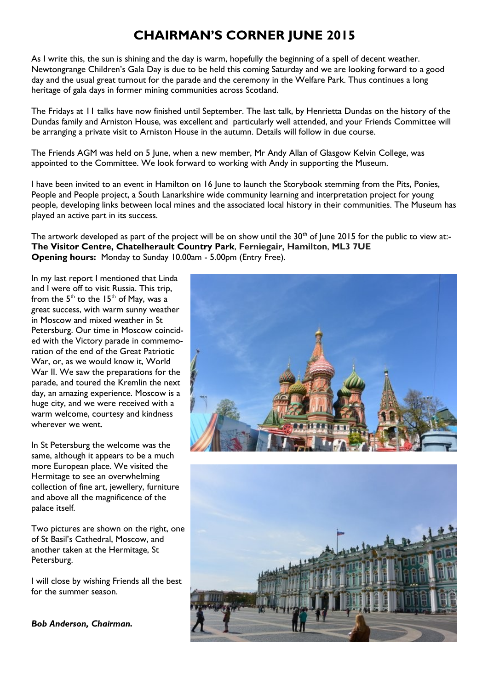### **CHAIRMAN'S CORNER JUNE 2015**

As I write this, the sun is shining and the day is warm, hopefully the beginning of a spell of decent weather. Newtongrange Children's Gala Day is due to be held this coming Saturday and we are looking forward to a good day and the usual great turnout for the parade and the ceremony in the Welfare Park. Thus continues a long heritage of gala days in former mining communities across Scotland.

The Fridays at 11 talks have now finished until September. The last talk, by Henrietta Dundas on the history of the Dundas family and Arniston House, was excellent and particularly well attended, and your Friends Committee will be arranging a private visit to Arniston House in the autumn. Details will follow in due course.

The Friends AGM was held on 5 June, when a new member, Mr Andy Allan of Glasgow Kelvin College, was appointed to the Committee. We look forward to working with Andy in supporting the Museum.

I have been invited to an event in Hamilton on 16 June to launch the Storybook stemming from the Pits, Ponies, People and People project, a South Lanarkshire wide community learning and interpretation project for young people, developing links between local mines and the associated local history in their communities. The Museum has played an active part in its success.

The artwork developed as part of the project will be on show until the  $30<sup>th</sup>$  of June 2015 for the public to view at:-**The Visitor Centre, Chatelherault Country Park**, **Ferniegair, Hamilton**, **ML3 7UE Opening hours:** Monday to Sunday 10.00am - 5.00pm (Entry Free).

In my last report I mentioned that Linda and I were off to visit Russia. This trip, from the  $5<sup>th</sup>$  to the  $15<sup>th</sup>$  of May, was a great success, with warm sunny weather in Moscow and mixed weather in St Petersburg. Our time in Moscow coincided with the Victory parade in commemoration of the end of the Great Patriotic War, or, as we would know it, World War II. We saw the preparations for the parade, and toured the Kremlin the next day, an amazing experience. Moscow is a huge city, and we were received with a warm welcome, courtesy and kindness wherever we went.

In St Petersburg the welcome was the same, although it appears to be a much more European place. We visited the Hermitage to see an overwhelming collection of fine art, jewellery, furniture and above all the magnificence of the palace itself.

Two pictures are shown on the right, one of St Basil's Cathedral, Moscow, and another taken at the Hermitage, St Petersburg.

I will close by wishing Friends all the best for the summer season.

*Bob Anderson, Chairman.*



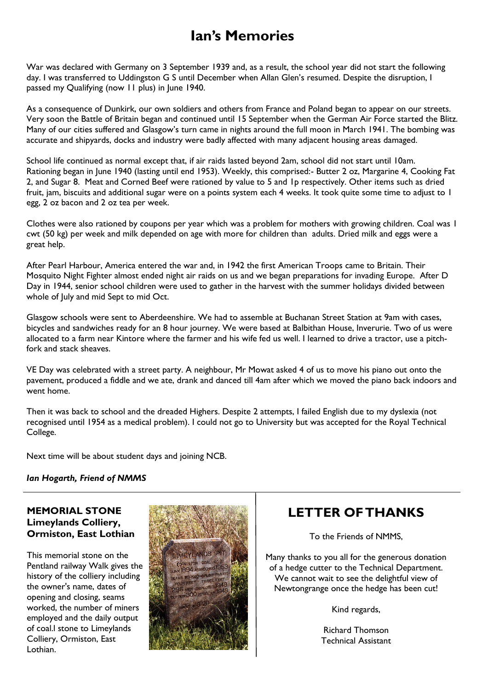### **Ian's Memories**

War was declared with Germany on 3 September 1939 and, as a result, the school year did not start the following day. I was transferred to Uddingston G S until December when Allan Glen's resumed. Despite the disruption, I passed my Qualifying (now 11 plus) in June 1940.

As a consequence of Dunkirk, our own soldiers and others from France and Poland began to appear on our streets. Very soon the Battle of Britain began and continued until 15 September when the German Air Force started the Blitz. Many of our cities suffered and Glasgow's turn came in nights around the full moon in March 1941. The bombing was accurate and shipyards, docks and industry were badly affected with many adjacent housing areas damaged.

School life continued as normal except that, if air raids lasted beyond 2am, school did not start until 10am. Rationing began in June 1940 (lasting until end 1953). Weekly, this comprised:- Butter 2 oz, Margarine 4, Cooking Fat 2, and Sugar 8. Meat and Corned Beef were rationed by value to 5 and 1p respectively. Other items such as dried fruit, jam, biscuits and additional sugar were on a points system each 4 weeks. It took quite some time to adjust to 1 egg, 2 oz bacon and 2 oz tea per week.

Clothes were also rationed by coupons per year which was a problem for mothers with growing children. Coal was 1 cwt (50 kg) per week and milk depended on age with more for children than adults. Dried milk and eggs were a great help.

After Pearl Harbour, America entered the war and, in 1942 the first American Troops came to Britain. Their Mosquito Night Fighter almost ended night air raids on us and we began preparations for invading Europe. After D Day in 1944, senior school children were used to gather in the harvest with the summer holidays divided between whole of July and mid Sept to mid Oct.

Glasgow schools were sent to Aberdeenshire. We had to assemble at Buchanan Street Station at 9am with cases, bicycles and sandwiches ready for an 8 hour journey. We were based at Balbithan House, Inverurie. Two of us were allocated to a farm near Kintore where the farmer and his wife fed us well. I learned to drive a tractor, use a pitchfork and stack sheaves.

VE Day was celebrated with a street party. A neighbour, Mr Mowat asked 4 of us to move his piano out onto the pavement, produced a fiddle and we ate, drank and danced till 4am after which we moved the piano back indoors and went home.

Then it was back to school and the dreaded Highers. Despite 2 attempts, I failed English due to my dyslexia (not recognised until 1954 as a medical problem). I could not go to University but was accepted for the Royal Technical College.

Next time will be about student days and joining NCB.

#### *Ian Hogarth, Friend of NMMS*

#### **MEMORIAL STONE Limeylands Colliery, Ormiston, East Lothian**

This memorial stone on the Pentland railway Walk gives the history of the colliery including the owner's name, dates of opening and closing, seams worked, the number of miners employed and the daily output of coal.l stone to Limeylands Colliery, Ormiston, East Lothian.



### **LETTER OF THANKS**

To the Friends of NMMS,

Many thanks to you all for the generous donation of a hedge cutter to the Technical Department. We cannot wait to see the delightful view of Newtongrange once the hedge has been cut!

Kind regards,

Richard Thomson Technical Assistant